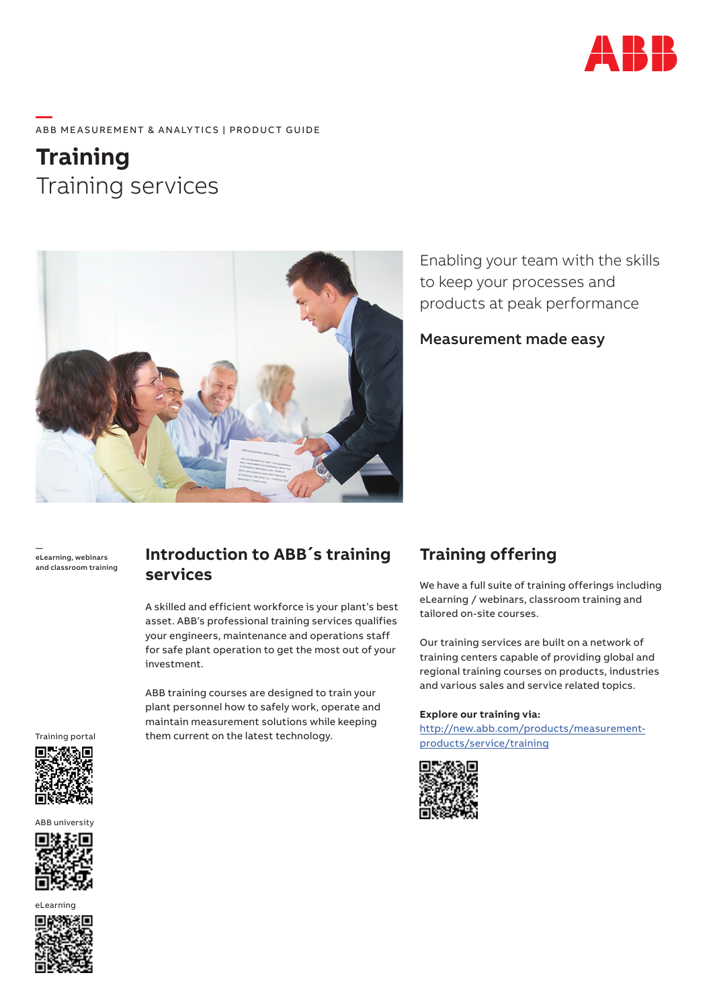

### **—**  ABB MEASUREMENT & ANALYTICS | PRODUCT GUIDE

**Training** Training services



Enabling your team with the skills to keep your processes and products at peak performance

Measurement made easy

 eLearning, webinars and classroom training

## **Introduction to ABB´s training services**

A skilled and efficient workforce is your plant's best asset. ABB's professional training services qualifies your engineers, maintenance and operations staff for safe plant operation to get the most out of your investment.

ABB training courses are designed to train your plant personnel how to safely work, operate and maintain measurement solutions while keeping them current on the latest technology.

# **Training offering**

We have a full suite of training offerings including eLearning / webinars, classroom training and tailored on-site courses.

Our training services are built on a network of training centers capable of providing global and regional training courses on products, industries and various sales and service related topics.

#### **Explore our training via:**

http://new.abb.com/products/measurementproducts/service/training



Training portal



ABB university



eLearning